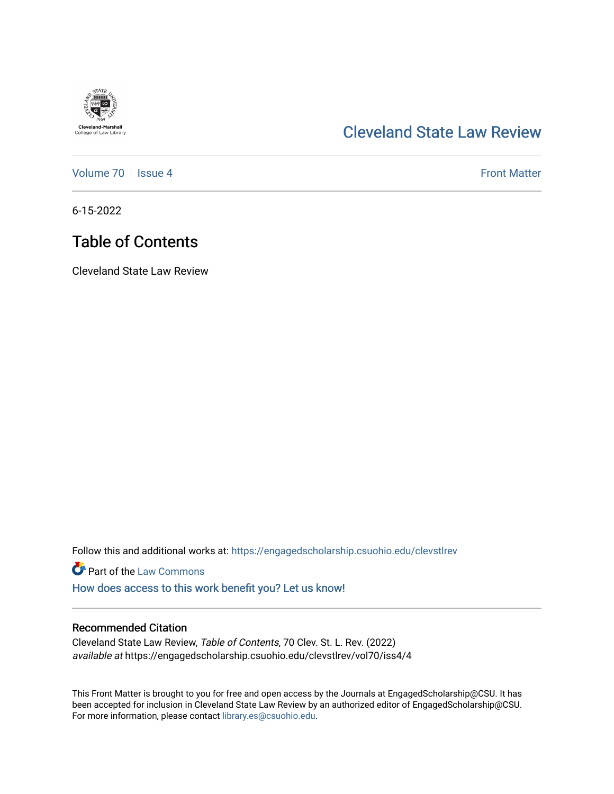

## [Cleveland State Law Review](https://engagedscholarship.csuohio.edu/clevstlrev)

[Volume 70](https://engagedscholarship.csuohio.edu/clevstlrev/vol70) | [Issue 4](https://engagedscholarship.csuohio.edu/clevstlrev/vol70/iss4) Front Matter

6-15-2022

# Table of Contents

Cleveland State Law Review

Follow this and additional works at: [https://engagedscholarship.csuohio.edu/clevstlrev](https://engagedscholarship.csuohio.edu/clevstlrev?utm_source=engagedscholarship.csuohio.edu%2Fclevstlrev%2Fvol70%2Fiss4%2F4&utm_medium=PDF&utm_campaign=PDFCoverPages)

**Part of the [Law Commons](https://network.bepress.com/hgg/discipline/578?utm_source=engagedscholarship.csuohio.edu%2Fclevstlrev%2Fvol70%2Fiss4%2F4&utm_medium=PDF&utm_campaign=PDFCoverPages)** 

[How does access to this work benefit you? Let us know!](http://library.csuohio.edu/engaged/)

### Recommended Citation

Cleveland State Law Review, Table of Contents, 70 Clev. St. L. Rev. (2022) available at https://engagedscholarship.csuohio.edu/clevstlrev/vol70/iss4/4

This Front Matter is brought to you for free and open access by the Journals at EngagedScholarship@CSU. It has been accepted for inclusion in Cleveland State Law Review by an authorized editor of EngagedScholarship@CSU. For more information, please contact [library.es@csuohio.edu.](mailto:library.es@csuohio.edu)